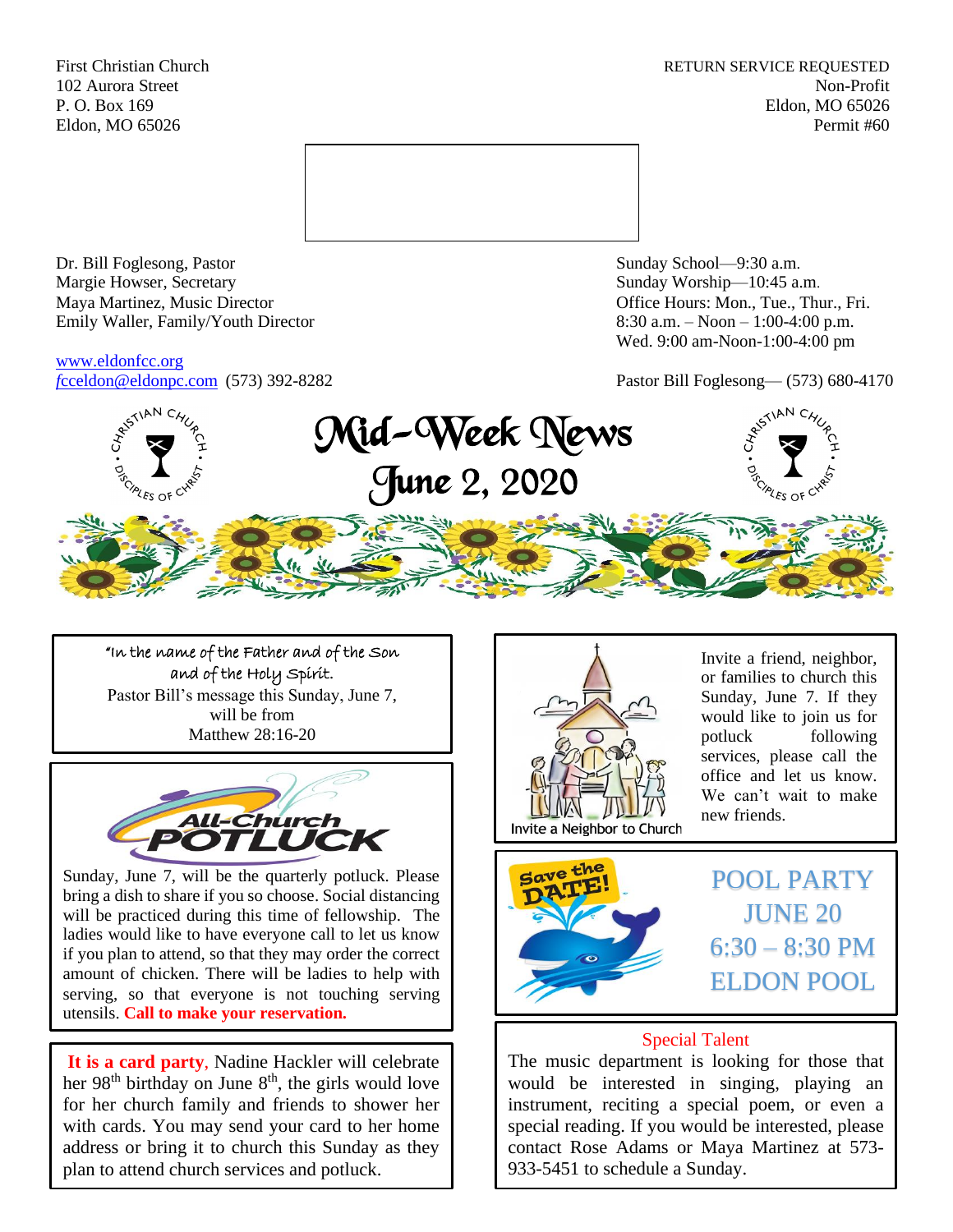First Christian Church **RETURN SERVICE REQUESTED** 102 Aurora Street Non-Profit P. O. Box 169 Eldon, MO 65026 Eldon, MO 65026 Permit #60



Dr. Bill Foglesong, Pastor Sunday School—9:30 a.m.<br>
Margie Howser, Secretary Sunday Worship—10:45 a. Maya Martinez, Music Director Office Hours: Mon., Tue., Thur., Fri. Emily Waller, Family/Youth Director 8:30 a.m. – Noon – 1:00-4:00 p.m.

[www.eldonfcc.org](http://www.eldonfcc.org/)

Sunday Worship—10:45 a.m. Wed. 9:00 am-Noon-1:00-4:00 pm

*f*[cceldon@eldonpc.com](mailto:fcceldon@eldonpc.com) (573) 392-8282 Pastor Bill Foglesong— (573) 680-4170



"In the name of the Father and of the Son and of the Holy Spirit. Pastor Bill's message this Sunday, June 7, will be from Matthew 28:16-20



Sunday, June 7, will be the quarterly potluck. Please bring a dish to share if you so choose. Social distancing will be practiced during this time of fellowship. The ladies would like to have everyone call to let us know if you plan to attend, so that they may order the correct amount of chicken. There will be ladies to help with serving, so that everyone is not touching serving utensils. **Call to make your reservation.**

**It is a card party**, Nadine Hackler will celebrate her 98<sup>th</sup> birthday on June 8<sup>th</sup>, the girls would love for her church family and friends to shower her with cards. You may send your card to her home address or bring it to church this Sunday as they plan to attend church services and potluck.



Invite a friend, neighbor, or families to church this Sunday, June 7. If they would like to join us for potluck following services, please call the office and let us know. We can't wait to make new friends.



POOL PARTY JUNE 20  $6:30 - 8:30$  PM ELDON POOL

## Special Talent

The music department is looking for those that would be interested in singing, playing an instrument, reciting a special poem, or even a special reading. If you would be interested, please contact Rose Adams or Maya Martinez at 573- 933-5451 to schedule a Sunday.